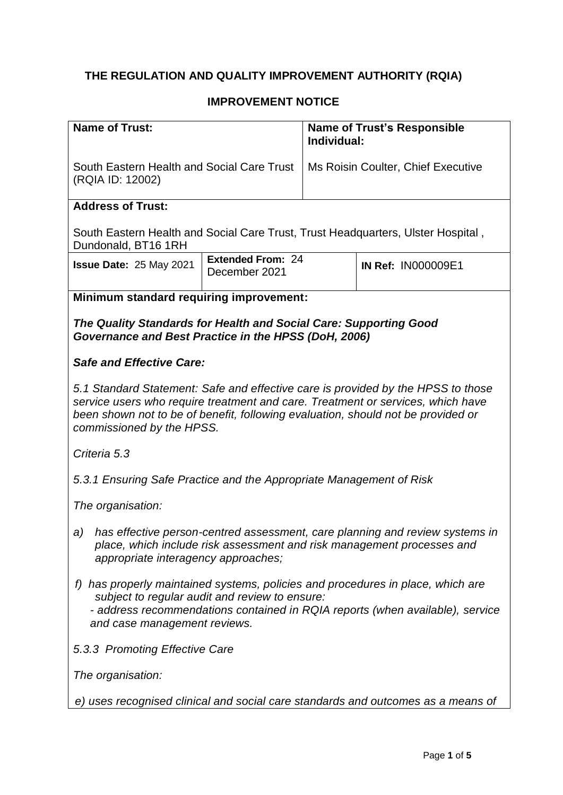# **THE REGULATION AND QUALITY IMPROVEMENT AUTHORITY (RQIA)**

## **IMPROVEMENT NOTICE**

| <b>Name of Trust:</b>                                                                                                                                                                                                                                                                |                                           | <b>Name of Trust's Responsible</b><br>Individual: |                           |
|--------------------------------------------------------------------------------------------------------------------------------------------------------------------------------------------------------------------------------------------------------------------------------------|-------------------------------------------|---------------------------------------------------|---------------------------|
| South Eastern Health and Social Care Trust<br>(RQIA ID: 12002)                                                                                                                                                                                                                       |                                           | Ms Roisin Coulter, Chief Executive                |                           |
| <b>Address of Trust:</b>                                                                                                                                                                                                                                                             |                                           |                                                   |                           |
| South Eastern Health and Social Care Trust, Trust Headquarters, Ulster Hospital,<br>Dundonald, BT16 1RH                                                                                                                                                                              |                                           |                                                   |                           |
| <b>Issue Date: 25 May 2021</b>                                                                                                                                                                                                                                                       | <b>Extended From: 24</b><br>December 2021 |                                                   | <b>IN Ref: IN000009E1</b> |
| Minimum standard requiring improvement:                                                                                                                                                                                                                                              |                                           |                                                   |                           |
| The Quality Standards for Health and Social Care: Supporting Good<br>Governance and Best Practice in the HPSS (DoH, 2006)                                                                                                                                                            |                                           |                                                   |                           |
| <b>Safe and Effective Care:</b>                                                                                                                                                                                                                                                      |                                           |                                                   |                           |
| 5.1 Standard Statement: Safe and effective care is provided by the HPSS to those<br>service users who require treatment and care. Treatment or services, which have<br>been shown not to be of benefit, following evaluation, should not be provided or<br>commissioned by the HPSS. |                                           |                                                   |                           |
| Criteria 5.3                                                                                                                                                                                                                                                                         |                                           |                                                   |                           |
| 5.3.1 Ensuring Safe Practice and the Appropriate Management of Risk                                                                                                                                                                                                                  |                                           |                                                   |                           |
| The organisation:                                                                                                                                                                                                                                                                    |                                           |                                                   |                           |
| has effective person-centred assessment, care planning and review systems in<br>a)<br>place, which include risk assessment and risk management processes and<br>appropriate interagency approaches;                                                                                  |                                           |                                                   |                           |
| has properly maintained systems, policies and procedures in place, which are<br>f)<br>subject to regular audit and review to ensure:<br>- address recommendations contained in RQIA reports (when available), service<br>and case management reviews.                                |                                           |                                                   |                           |
| 5.3.3 Promoting Effective Care                                                                                                                                                                                                                                                       |                                           |                                                   |                           |
| The organisation:                                                                                                                                                                                                                                                                    |                                           |                                                   |                           |
| e) uses recognised clinical and social care standards and outcomes as a means of                                                                                                                                                                                                     |                                           |                                                   |                           |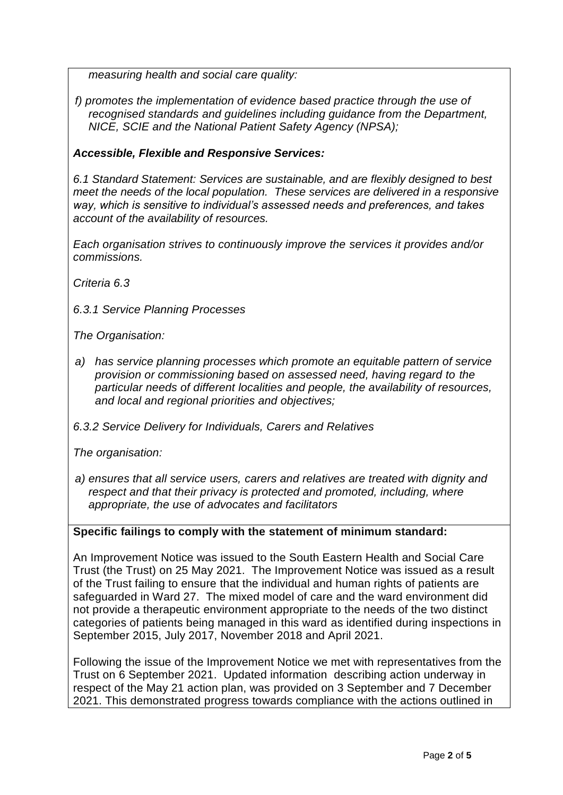*measuring health and social care quality:*

*f) promotes the implementation of evidence based practice through the use of recognised standards and guidelines including guidance from the Department, NICE, SCIE and the National Patient Safety Agency (NPSA);*

## *Accessible, Flexible and Responsive Services:*

*6.1 Standard Statement: Services are sustainable, and are flexibly designed to best meet the needs of the local population. These services are delivered in a responsive way, which is sensitive to individual's assessed needs and preferences, and takes account of the availability of resources.*

*Each organisation strives to continuously improve the services it provides and/or commissions.*

*Criteria 6.3*

*6.3.1 Service Planning Processes*

*The Organisation:*

*a) has service planning processes which promote an equitable pattern of service provision or commissioning based on assessed need, having regard to the particular needs of different localities and people, the availability of resources, and local and regional priorities and objectives;*

*6.3.2 Service Delivery for Individuals, Carers and Relatives*

*The organisation:*

*a) ensures that all service users, carers and relatives are treated with dignity and respect and that their privacy is protected and promoted, including, where appropriate, the use of advocates and facilitators*

#### **Specific failings to comply with the statement of minimum standard:**

An Improvement Notice was issued to the South Eastern Health and Social Care Trust (the Trust) on 25 May 2021. The Improvement Notice was issued as a result of the Trust failing to ensure that the individual and human rights of patients are safeguarded in Ward 27. The mixed model of care and the ward environment did not provide a therapeutic environment appropriate to the needs of the two distinct categories of patients being managed in this ward as identified during inspections in September 2015, July 2017, November 2018 and April 2021.

Following the issue of the Improvement Notice we met with representatives from the Trust on 6 September 2021. Updated information describing action underway in respect of the May 21 action plan, was provided on 3 September and 7 December 2021. This demonstrated progress towards compliance with the actions outlined in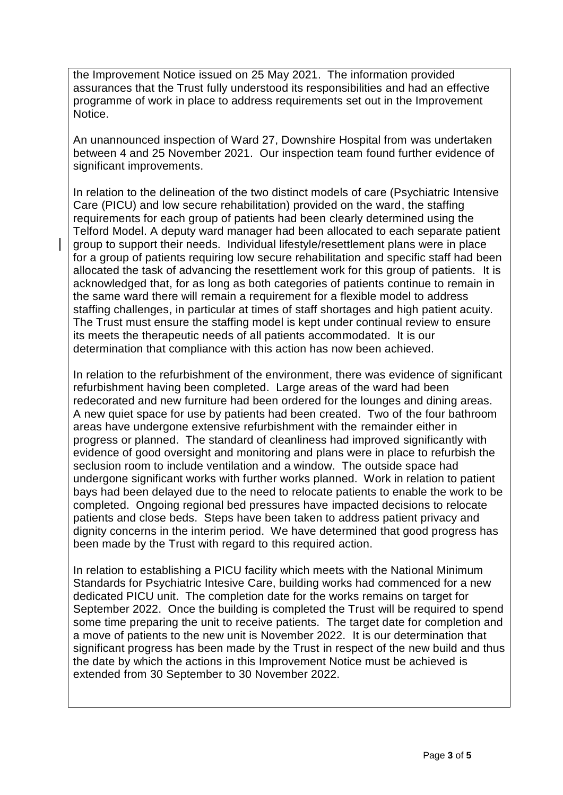the Improvement Notice issued on 25 May 2021. The information provided assurances that the Trust fully understood its responsibilities and had an effective programme of work in place to address requirements set out in the Improvement Notice.

An unannounced inspection of Ward 27, Downshire Hospital from was undertaken between 4 and 25 November 2021. Our inspection team found further evidence of significant improvements.

In relation to the delineation of the two distinct models of care (Psychiatric Intensive Care (PICU) and low secure rehabilitation) provided on the ward, the staffing requirements for each group of patients had been clearly determined using the Telford Model. A deputy ward manager had been allocated to each separate patient group to support their needs. Individual lifestyle/resettlement plans were in place for a group of patients requiring low secure rehabilitation and specific staff had been allocated the task of advancing the resettlement work for this group of patients. It is acknowledged that, for as long as both categories of patients continue to remain in the same ward there will remain a requirement for a flexible model to address staffing challenges, in particular at times of staff shortages and high patient acuity. The Trust must ensure the staffing model is kept under continual review to ensure its meets the therapeutic needs of all patients accommodated. It is our determination that compliance with this action has now been achieved.

In relation to the refurbishment of the environment, there was evidence of significant refurbishment having been completed. Large areas of the ward had been redecorated and new furniture had been ordered for the lounges and dining areas. A new quiet space for use by patients had been created. Two of the four bathroom areas have undergone extensive refurbishment with the remainder either in progress or planned. The standard of cleanliness had improved significantly with evidence of good oversight and monitoring and plans were in place to refurbish the seclusion room to include ventilation and a window. The outside space had undergone significant works with further works planned. Work in relation to patient bays had been delayed due to the need to relocate patients to enable the work to be completed. Ongoing regional bed pressures have impacted decisions to relocate patients and close beds. Steps have been taken to address patient privacy and dignity concerns in the interim period. We have determined that good progress has been made by the Trust with regard to this required action.

In relation to establishing a PICU facility which meets with the National Minimum Standards for Psychiatric Intesive Care, building works had commenced for a new dedicated PICU unit. The completion date for the works remains on target for September 2022. Once the building is completed the Trust will be required to spend some time preparing the unit to receive patients. The target date for completion and a move of patients to the new unit is November 2022. It is our determination that significant progress has been made by the Trust in respect of the new build and thus the date by which the actions in this Improvement Notice must be achieved is extended from 30 September to 30 November 2022.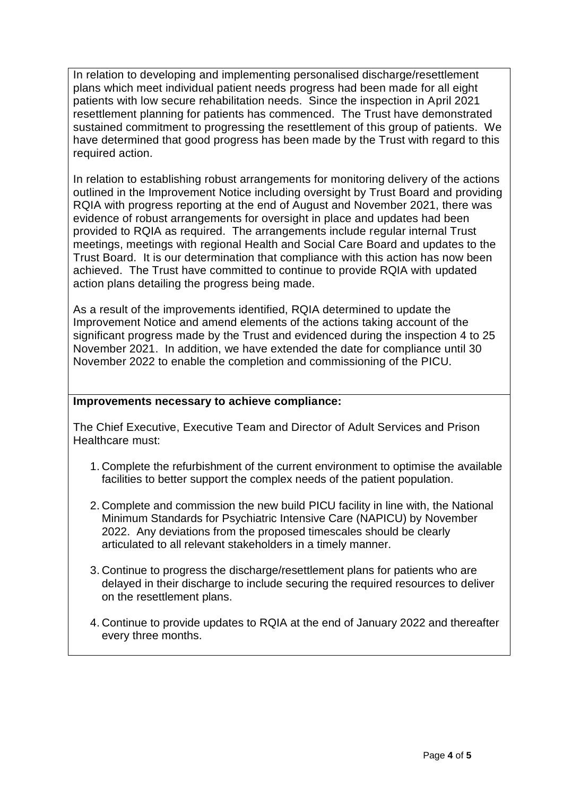In relation to developing and implementing personalised discharge/resettlement plans which meet individual patient needs progress had been made for all eight patients with low secure rehabilitation needs. Since the inspection in April 2021 resettlement planning for patients has commenced. The Trust have demonstrated sustained commitment to progressing the resettlement of this group of patients. We have determined that good progress has been made by the Trust with regard to this required action.

In relation to establishing robust arrangements for monitoring delivery of the actions outlined in the Improvement Notice including oversight by Trust Board and providing RQIA with progress reporting at the end of August and November 2021, there was evidence of robust arrangements for oversight in place and updates had been provided to RQIA as required. The arrangements include regular internal Trust meetings, meetings with regional Health and Social Care Board and updates to the Trust Board. It is our determination that compliance with this action has now been achieved. The Trust have committed to continue to provide RQIA with updated action plans detailing the progress being made.

As a result of the improvements identified, RQIA determined to update the Improvement Notice and amend elements of the actions taking account of the significant progress made by the Trust and evidenced during the inspection 4 to 25 November 2021. In addition, we have extended the date for compliance until 30 November 2022 to enable the completion and commissioning of the PICU.

#### **Improvements necessary to achieve compliance:**

The Chief Executive, Executive Team and Director of Adult Services and Prison Healthcare must:

- 1. Complete the refurbishment of the current environment to optimise the available facilities to better support the complex needs of the patient population.
- 2. Complete and commission the new build PICU facility in line with, the National Minimum Standards for Psychiatric Intensive Care (NAPICU) by November 2022. Any deviations from the proposed timescales should be clearly articulated to all relevant stakeholders in a timely manner.
- 3. Continue to progress the discharge/resettlement plans for patients who are delayed in their discharge to include securing the required resources to deliver on the resettlement plans.
- 4. Continue to provide updates to RQIA at the end of January 2022 and thereafter every three months.